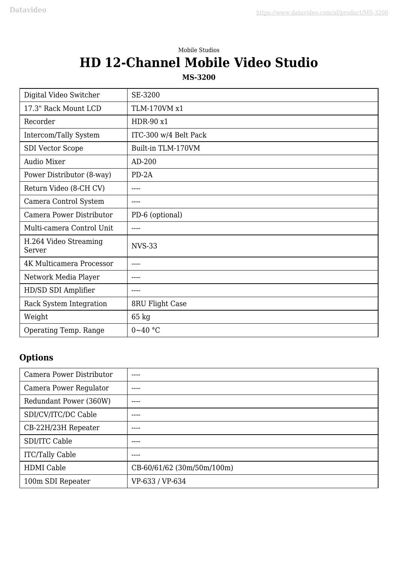## Mobile Studios **HD 12-Channel Mobile Video Studio**

**MS-3200**

| Digital Video Switcher          | SE-3200                   |
|---------------------------------|---------------------------|
| 17.3" Rack Mount LCD            | TLM-170VM x1              |
| Recorder                        | HDR-90 x1                 |
| Intercom/Tally System           | ITC-300 w/4 Belt Pack     |
| <b>SDI Vector Scope</b>         | Built-in TLM-170VM        |
| <b>Audio Mixer</b>              | $AD-200$                  |
| Power Distributor (8-way)       | $PD-2A$                   |
| Return Video (8-CH CV)          | $\qquad \qquad -\qquad -$ |
| Camera Control System           | ----                      |
| Camera Power Distributor        | PD-6 (optional)           |
| Multi-camera Control Unit       | ----                      |
| H.264 Video Streaming<br>Server | <b>NVS-33</b>             |
| 4K Multicamera Processor        | $\qquad \qquad -\qquad -$ |
| Network Media Player            | $\qquad \qquad -\qquad -$ |
| HD/SD SDI Amplifier             | $---$                     |
| Rack System Integration         | 8RU Flight Case           |
| Weight                          | 65 kg                     |
| Operating Temp. Range           | $0 - 40$ °C               |

## **Options**

| Camera Power Distributor | ----                       |
|--------------------------|----------------------------|
| Camera Power Regulator   | ----                       |
| Redundant Power (360W)   | ----                       |
| SDI/CV/ITC/DC Cable      | ----                       |
| CB-22H/23H Repeater      | ----                       |
| SDI/ITC Cable            | ----                       |
| <b>ITC/Tally Cable</b>   | ----                       |
| <b>HDMI</b> Cable        | CB-60/61/62 (30m/50m/100m) |
| 100m SDI Repeater        | VP-633 / VP-634            |